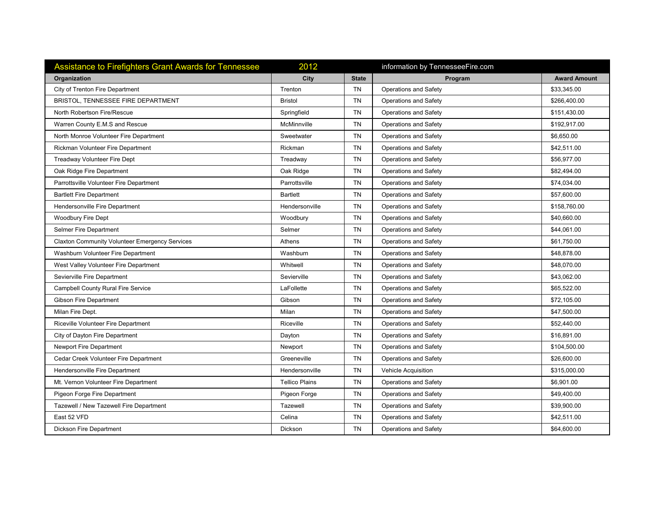| Assistance to Firefighters Grant Awards for Tennessee | 2012                  |              | information by TennesseeFire.com |                     |
|-------------------------------------------------------|-----------------------|--------------|----------------------------------|---------------------|
| Organization                                          | City                  | <b>State</b> | Program                          | <b>Award Amount</b> |
| City of Trenton Fire Department                       | Trenton               | <b>TN</b>    | Operations and Safety            | \$33,345.00         |
| BRISTOL, TENNESSEE FIRE DEPARTMENT                    | <b>Bristol</b>        | TN           | Operations and Safety            | \$266,400.00        |
| North Robertson Fire/Rescue                           | Springfield           | <b>TN</b>    | Operations and Safety            | \$151,430.00        |
| Warren County E.M.S and Rescue                        | McMinnville           | <b>TN</b>    | <b>Operations and Safety</b>     | \$192.917.00        |
| North Monroe Volunteer Fire Department                | Sweetwater            | TN           | <b>Operations and Safety</b>     | \$6,650.00          |
| Rickman Volunteer Fire Department                     | Rickman               | <b>TN</b>    | <b>Operations and Safety</b>     | \$42,511.00         |
| Treadway Volunteer Fire Dept                          | Treadway              | TN           | <b>Operations and Safety</b>     | \$56,977.00         |
| Oak Ridge Fire Department                             | Oak Ridge             | <b>TN</b>    | Operations and Safety            | \$82,494.00         |
| Parrottsville Volunteer Fire Department               | Parrottsville         | TN           | <b>Operations and Safety</b>     | \$74,034.00         |
| <b>Bartlett Fire Department</b>                       | <b>Bartlett</b>       | <b>TN</b>    | <b>Operations and Safety</b>     | \$57,600.00         |
| Hendersonville Fire Department                        | Hendersonville        | <b>TN</b>    | <b>Operations and Safety</b>     | \$158,760.00        |
| <b>Woodbury Fire Dept</b>                             | Woodbury              | <b>TN</b>    | Operations and Safety            | \$40,660.00         |
| Selmer Fire Department                                | Selmer                | <b>TN</b>    | Operations and Safety            | \$44,061.00         |
| <b>Claxton Community Volunteer Emergency Services</b> | Athens                | <b>TN</b>    | <b>Operations and Safety</b>     | \$61,750.00         |
| Washburn Volunteer Fire Department                    | Washburn              | <b>TN</b>    | <b>Operations and Safety</b>     | \$48,878.00         |
| West Valley Volunteer Fire Department                 | Whitwell              | TN           | Operations and Safety            | \$48,070.00         |
| Sevierville Fire Department                           | Sevierville           | TN           | Operations and Safety            | \$43,062.00         |
| <b>Campbell County Rural Fire Service</b>             | LaFollette            | <b>TN</b>    | <b>Operations and Safety</b>     | \$65,522.00         |
| Gibson Fire Department                                | Gibson                | <b>TN</b>    | Operations and Safety            | \$72,105.00         |
| Milan Fire Dept.                                      | Milan                 | <b>TN</b>    | <b>Operations and Safety</b>     | \$47,500.00         |
| Riceville Volunteer Fire Department                   | Riceville             | <b>TN</b>    | Operations and Safety            | \$52,440.00         |
| City of Dayton Fire Department                        | Dayton                | <b>TN</b>    | Operations and Safety            | \$16,891.00         |
| Newport Fire Department                               | Newport               | <b>TN</b>    | <b>Operations and Safety</b>     | \$104,500.00        |
| Cedar Creek Volunteer Fire Department                 | Greeneville           | <b>TN</b>    | <b>Operations and Safety</b>     | \$26,600.00         |
| Hendersonville Fire Department                        | Hendersonville        | TN           | Vehicle Acquisition              | \$315,000.00        |
| Mt. Vernon Volunteer Fire Department                  | <b>Tellico Plains</b> | <b>TN</b>    | Operations and Safety            | \$6,901.00          |
| Pigeon Forge Fire Department                          | Pigeon Forge          | <b>TN</b>    | <b>Operations and Safety</b>     | \$49,400.00         |
| Tazewell / New Tazewell Fire Department               | Tazewell              | <b>TN</b>    | <b>Operations and Safety</b>     | \$39,900.00         |
| East 52 VFD                                           | Celina                | <b>TN</b>    | <b>Operations and Safety</b>     | \$42,511.00         |
| Dickson Fire Department                               | Dickson               | <b>TN</b>    | Operations and Safety            | \$64,600.00         |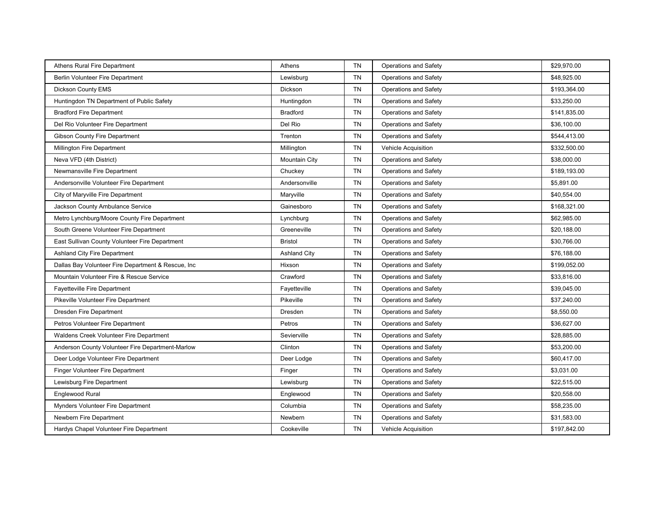| Athens Rural Fire Department                        | Athens              | <b>TN</b> | <b>Operations and Safety</b> | \$29,970.00  |
|-----------------------------------------------------|---------------------|-----------|------------------------------|--------------|
| Berlin Volunteer Fire Department                    | Lewisburg           | <b>TN</b> | Operations and Safety        | \$48,925.00  |
| <b>Dickson County EMS</b>                           | Dickson             | <b>TN</b> | <b>Operations and Safety</b> | \$193,364.00 |
| Huntingdon TN Department of Public Safety           | Huntingdon          | <b>TN</b> | Operations and Safety        | \$33,250.00  |
| <b>Bradford Fire Department</b>                     | <b>Bradford</b>     | <b>TN</b> | Operations and Safety        | \$141.835.00 |
| Del Rio Volunteer Fire Department                   | Del Rio             | <b>TN</b> | <b>Operations and Safety</b> | \$36,100.00  |
| <b>Gibson County Fire Department</b>                | Trenton             | <b>TN</b> | Operations and Safety        | \$544,413.00 |
| Millington Fire Department                          | Millington          | <b>TN</b> | Vehicle Acquisition          | \$332,500.00 |
| Neva VFD (4th District)                             | Mountain City       | <b>TN</b> | Operations and Safety        | \$38,000.00  |
| Newmansville Fire Department                        | Chuckey             | <b>TN</b> | Operations and Safety        | \$189,193.00 |
| Andersonville Volunteer Fire Department             | Andersonville       | <b>TN</b> | <b>Operations and Safety</b> | \$5,891.00   |
| City of Maryville Fire Department                   | Maryville           | <b>TN</b> | Operations and Safety        | \$40,554.00  |
| Jackson County Ambulance Service                    | Gainesboro          | TN        | Operations and Safety        | \$168,321.00 |
| Metro Lynchburg/Moore County Fire Department        | Lynchburg           | <b>TN</b> | <b>Operations and Safety</b> | \$62,985.00  |
| South Greene Volunteer Fire Department              | Greeneville         | <b>TN</b> | <b>Operations and Safety</b> | \$20,188.00  |
| East Sullivan County Volunteer Fire Department      | <b>Bristol</b>      | <b>TN</b> | Operations and Safety        | \$30,766.00  |
| <b>Ashland City Fire Department</b>                 | <b>Ashland City</b> | <b>TN</b> | <b>Operations and Safety</b> | \$76,188.00  |
| Dallas Bay Volunteer Fire Department & Rescue, Inc. | Hixson              | <b>TN</b> | <b>Operations and Safety</b> | \$199,052.00 |
| Mountain Volunteer Fire & Rescue Service            | Crawford            | <b>TN</b> | <b>Operations and Safety</b> | \$33,816.00  |
| Fayetteville Fire Department                        | Fayetteville        | <b>TN</b> | Operations and Safety        | \$39,045.00  |
| Pikeville Volunteer Fire Department                 | Pikeville           | <b>TN</b> | <b>Operations and Safety</b> | \$37,240.00  |
| <b>Dresden Fire Department</b>                      | Dresden             | <b>TN</b> | Operations and Safety        | \$8,550.00   |
| Petros Volunteer Fire Department                    | Petros              | <b>TN</b> | <b>Operations and Safety</b> | \$36,627.00  |
| Waldens Creek Volunteer Fire Department             | Sevierville         | <b>TN</b> | <b>Operations and Safety</b> | \$28,885.00  |
| Anderson County Volunteer Fire Department-Marlow    | Clinton             | <b>TN</b> | Operations and Safety        | \$53,200.00  |
| Deer Lodge Volunteer Fire Department                | Deer Lodge          | <b>TN</b> | <b>Operations and Safety</b> | \$60,417.00  |
| Finger Volunteer Fire Department                    | Finger              | <b>TN</b> | Operations and Safety        | \$3,031.00   |
| Lewisburg Fire Department                           | Lewisburg           | TN        | Operations and Safety        | \$22,515.00  |
| <b>Englewood Rural</b>                              | Englewood           | <b>TN</b> | <b>Operations and Safety</b> | \$20,558.00  |
| Mynders Volunteer Fire Department                   | Columbia            | <b>TN</b> | Operations and Safety        | \$58,235.00  |
| Newbern Fire Department                             | Newbern             | TN        | <b>Operations and Safety</b> | \$31,583.00  |
| Hardys Chapel Volunteer Fire Department             | Cookeville          | <b>TN</b> | <b>Vehicle Acquisition</b>   | \$197,842.00 |